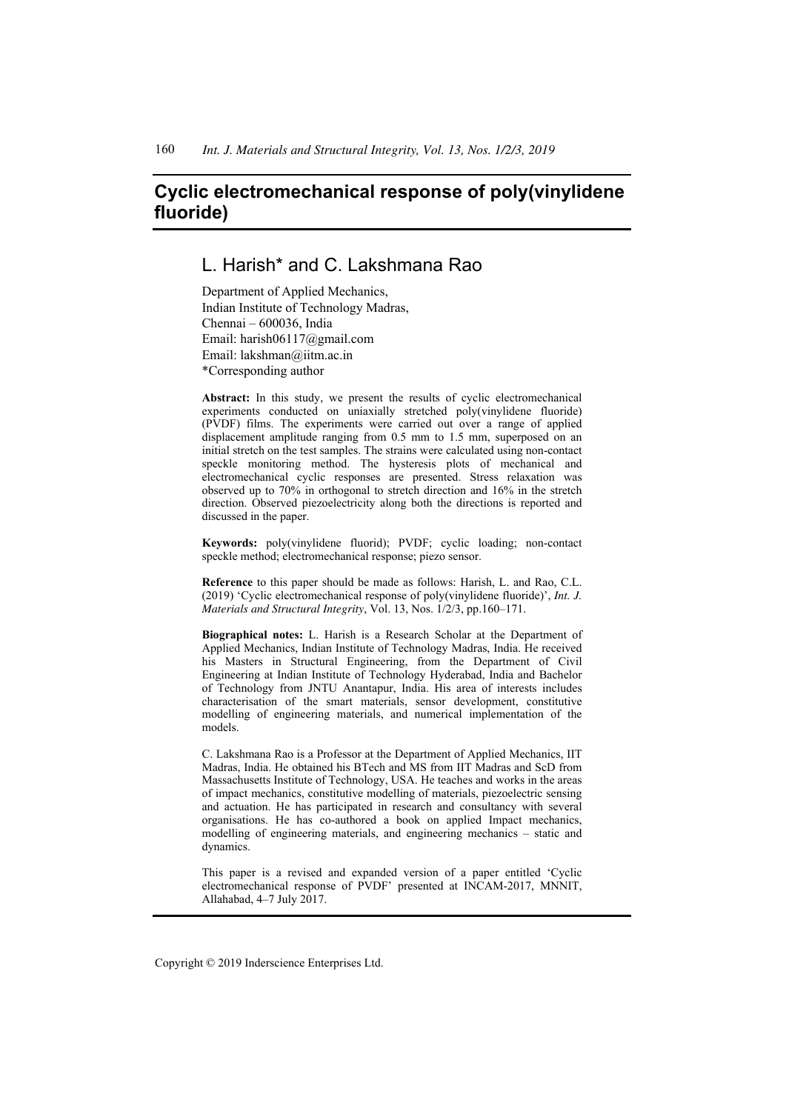# **Cyclic electromechanical response of poly(vinylidene fluoride)**

## L. Harish\* and C. Lakshmana Rao

Department of Applied Mechanics, Indian Institute of Technology Madras, Chennai – 600036, India Email: harish06117@gmail.com Email: lakshman@iitm.ac.in \*Corresponding author

**Abstract:** In this study, we present the results of cyclic electromechanical experiments conducted on uniaxially stretched poly(vinylidene fluoride) (PVDF) films. The experiments were carried out over a range of applied displacement amplitude ranging from 0.5 mm to 1.5 mm, superposed on an initial stretch on the test samples. The strains were calculated using non-contact speckle monitoring method. The hysteresis plots of mechanical and electromechanical cyclic responses are presented. Stress relaxation was observed up to 70% in orthogonal to stretch direction and 16% in the stretch direction. Observed piezoelectricity along both the directions is reported and discussed in the paper.

**Keywords:** poly(vinylidene fluorid); PVDF; cyclic loading; non-contact speckle method; electromechanical response; piezo sensor.

**Reference** to this paper should be made as follows: Harish, L. and Rao, C.L. (2019) 'Cyclic electromechanical response of poly(vinylidene fluoride)', *Int. J. Materials and Structural Integrity*, Vol. 13, Nos. 1/2/3, pp.160–171.

**Biographical notes:** L. Harish is a Research Scholar at the Department of Applied Mechanics, Indian Institute of Technology Madras, India. He received his Masters in Structural Engineering, from the Department of Civil Engineering at Indian Institute of Technology Hyderabad, India and Bachelor of Technology from JNTU Anantapur, India. His area of interests includes characterisation of the smart materials, sensor development, constitutive modelling of engineering materials, and numerical implementation of the models.

C. Lakshmana Rao is a Professor at the Department of Applied Mechanics, IIT Madras, India. He obtained his BTech and MS from IIT Madras and ScD from Massachusetts Institute of Technology, USA. He teaches and works in the areas of impact mechanics, constitutive modelling of materials, piezoelectric sensing and actuation. He has participated in research and consultancy with several organisations. He has co-authored a book on applied Impact mechanics, modelling of engineering materials, and engineering mechanics – static and dynamics.

This paper is a revised and expanded version of a paper entitled 'Cyclic electromechanical response of PVDF' presented at INCAM-2017, MNNIT, Allahabad, 4–7 July 2017.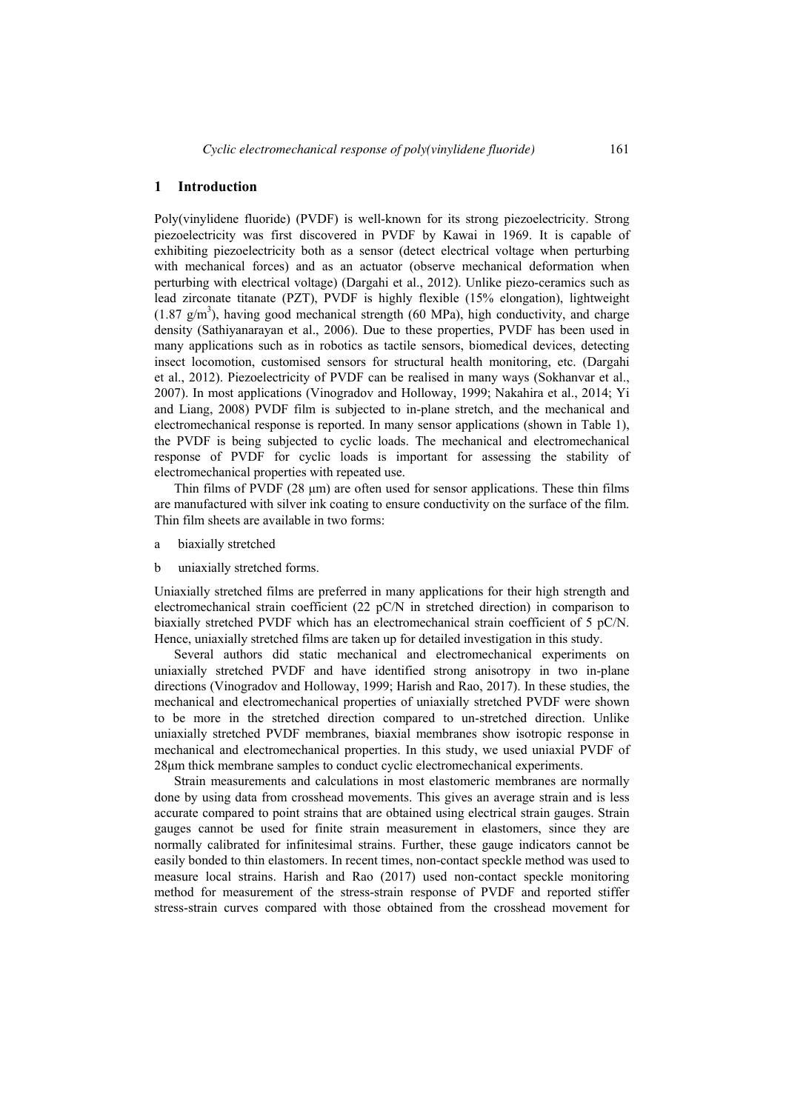#### **1 Introduction**

Poly(vinylidene fluoride) (PVDF) is well-known for its strong piezoelectricity. Strong piezoelectricity was first discovered in PVDF by Kawai in 1969. It is capable of exhibiting piezoelectricity both as a sensor (detect electrical voltage when perturbing with mechanical forces) and as an actuator (observe mechanical deformation when perturbing with electrical voltage) (Dargahi et al., 2012). Unlike piezo-ceramics such as lead zirconate titanate (PZT), PVDF is highly flexible (15% elongation), lightweight  $(1.87 \text{ g/m}^3)$ , having good mechanical strength (60 MPa), high conductivity, and charge density (Sathiyanarayan et al., 2006). Due to these properties, PVDF has been used in many applications such as in robotics as tactile sensors, biomedical devices, detecting insect locomotion, customised sensors for structural health monitoring, etc. (Dargahi et al., 2012). Piezoelectricity of PVDF can be realised in many ways (Sokhanvar et al., 2007). In most applications (Vinogradov and Holloway, 1999; Nakahira et al., 2014; Yi and Liang, 2008) PVDF film is subjected to in-plane stretch, and the mechanical and electromechanical response is reported. In many sensor applications (shown in Table 1), the PVDF is being subjected to cyclic loads. The mechanical and electromechanical response of PVDF for cyclic loads is important for assessing the stability of electromechanical properties with repeated use.

Thin films of PVDF (28 μm) are often used for sensor applications. These thin films are manufactured with silver ink coating to ensure conductivity on the surface of the film. Thin film sheets are available in two forms:

- a biaxially stretched
- b uniaxially stretched forms.

Uniaxially stretched films are preferred in many applications for their high strength and electromechanical strain coefficient (22 pC/N in stretched direction) in comparison to biaxially stretched PVDF which has an electromechanical strain coefficient of 5 pC/N. Hence, uniaxially stretched films are taken up for detailed investigation in this study.

Several authors did static mechanical and electromechanical experiments on uniaxially stretched PVDF and have identified strong anisotropy in two in-plane directions (Vinogradov and Holloway, 1999; Harish and Rao, 2017). In these studies, the mechanical and electromechanical properties of uniaxially stretched PVDF were shown to be more in the stretched direction compared to un-stretched direction. Unlike uniaxially stretched PVDF membranes, biaxial membranes show isotropic response in mechanical and electromechanical properties. In this study, we used uniaxial PVDF of 28μm thick membrane samples to conduct cyclic electromechanical experiments.

Strain measurements and calculations in most elastomeric membranes are normally done by using data from crosshead movements. This gives an average strain and is less accurate compared to point strains that are obtained using electrical strain gauges. Strain gauges cannot be used for finite strain measurement in elastomers, since they are normally calibrated for infinitesimal strains. Further, these gauge indicators cannot be easily bonded to thin elastomers. In recent times, non-contact speckle method was used to measure local strains. Harish and Rao (2017) used non-contact speckle monitoring method for measurement of the stress-strain response of PVDF and reported stiffer stress-strain curves compared with those obtained from the crosshead movement for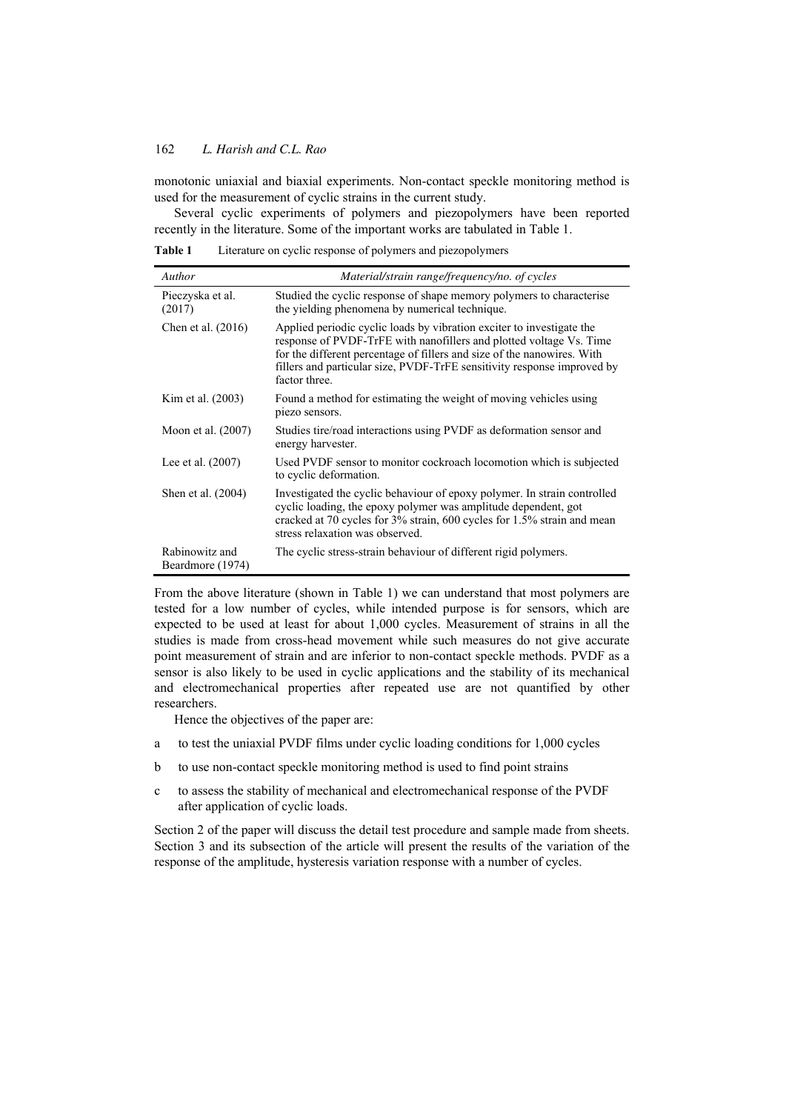monotonic uniaxial and biaxial experiments. Non-contact speckle monitoring method is used for the measurement of cyclic strains in the current study.

Several cyclic experiments of polymers and piezopolymers have been reported recently in the literature. Some of the important works are tabulated in Table 1.

**Table 1** Literature on cyclic response of polymers and piezopolymers

| Author                             | Material/strain range/frequency/no. of cycles                                                                                                                                                                                                                                                                       |  |
|------------------------------------|---------------------------------------------------------------------------------------------------------------------------------------------------------------------------------------------------------------------------------------------------------------------------------------------------------------------|--|
| Pieczyska et al.<br>(2017)         | Studied the cyclic response of shape memory polymers to characterise<br>the yielding phenomena by numerical technique.                                                                                                                                                                                              |  |
| Chen et al. $(2016)$               | Applied periodic cyclic loads by vibration exciter to investigate the<br>response of PVDF-TrFE with nanofillers and plotted voltage Vs. Time<br>for the different percentage of fillers and size of the nanowires. With<br>fillers and particular size, PVDF-TrFE sensitivity response improved by<br>factor three. |  |
| Kim et al. (2003)                  | Found a method for estimating the weight of moving vehicles using<br>piezo sensors.                                                                                                                                                                                                                                 |  |
| Moon et al. (2007)                 | Studies tire/road interactions using PVDF as deformation sensor and<br>energy harvester.                                                                                                                                                                                                                            |  |
| Lee et al. $(2007)$                | Used PVDF sensor to monitor cockroach locomotion which is subjected<br>to cyclic deformation.                                                                                                                                                                                                                       |  |
| Shen et al. (2004)                 | Investigated the cyclic behaviour of epoxy polymer. In strain controlled<br>cyclic loading, the epoxy polymer was amplitude dependent, got<br>cracked at 70 cycles for 3% strain, 600 cycles for 1.5% strain and mean<br>stress relaxation was observed.                                                            |  |
| Rabinowitz and<br>Beardmore (1974) | The cyclic stress-strain behaviour of different rigid polymers.                                                                                                                                                                                                                                                     |  |

From the above literature (shown in Table 1) we can understand that most polymers are tested for a low number of cycles, while intended purpose is for sensors, which are expected to be used at least for about 1,000 cycles. Measurement of strains in all the studies is made from cross-head movement while such measures do not give accurate point measurement of strain and are inferior to non-contact speckle methods. PVDF as a sensor is also likely to be used in cyclic applications and the stability of its mechanical and electromechanical properties after repeated use are not quantified by other researchers.

Hence the objectives of the paper are:

- a to test the uniaxial PVDF films under cyclic loading conditions for 1,000 cycles
- b to use non-contact speckle monitoring method is used to find point strains
- c to assess the stability of mechanical and electromechanical response of the PVDF after application of cyclic loads.

Section 2 of the paper will discuss the detail test procedure and sample made from sheets. Section 3 and its subsection of the article will present the results of the variation of the response of the amplitude, hysteresis variation response with a number of cycles.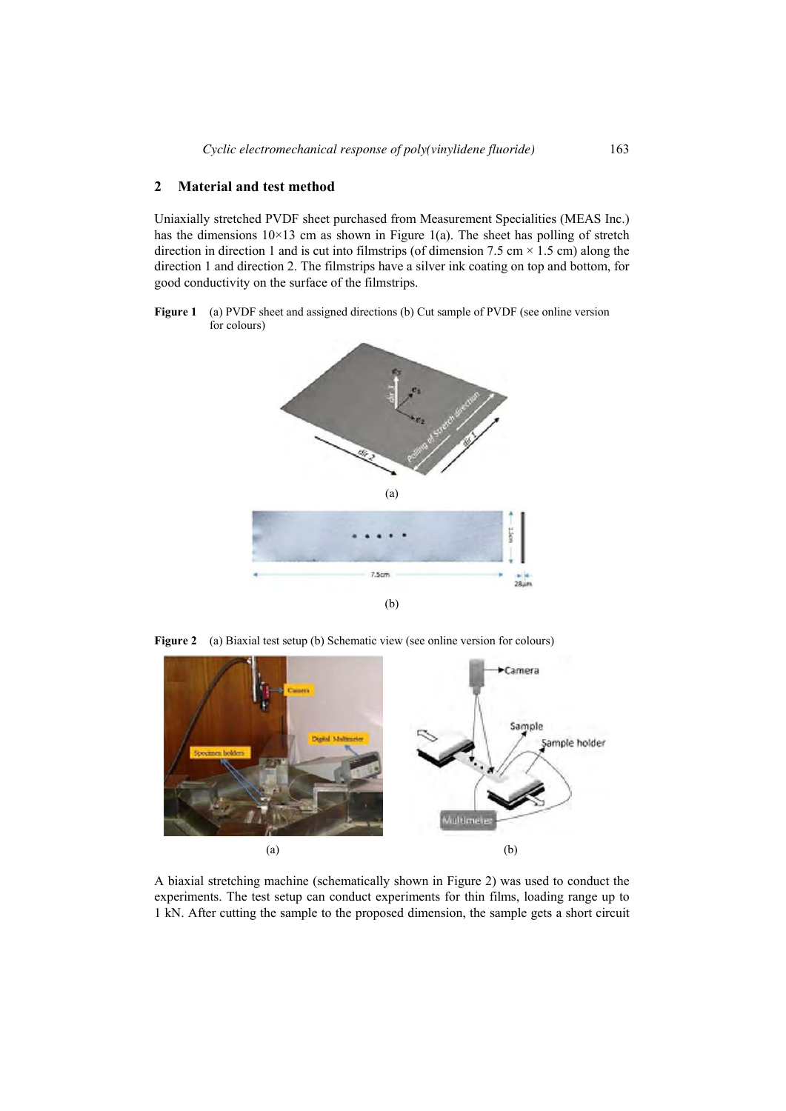## **2 Material and test method**

Uniaxially stretched PVDF sheet purchased from Measurement Specialities (MEAS Inc.) has the dimensions  $10\times13$  cm as shown in Figure 1(a). The sheet has polling of stretch direction in direction 1 and is cut into filmstrips (of dimension 7.5 cm  $\times$  1.5 cm) along the direction 1 and direction 2. The filmstrips have a silver ink coating on top and bottom, for good conductivity on the surface of the filmstrips.

Figure 1 (a) PVDF sheet and assigned directions (b) Cut sample of PVDF (see online version for colours)



**Figure 2** (a) Biaxial test setup (b) Schematic view (see online version for colours)



A biaxial stretching machine (schematically shown in Figure 2) was used to conduct the experiments. The test setup can conduct experiments for thin films, loading range up to 1 kN. After cutting the sample to the proposed dimension, the sample gets a short circuit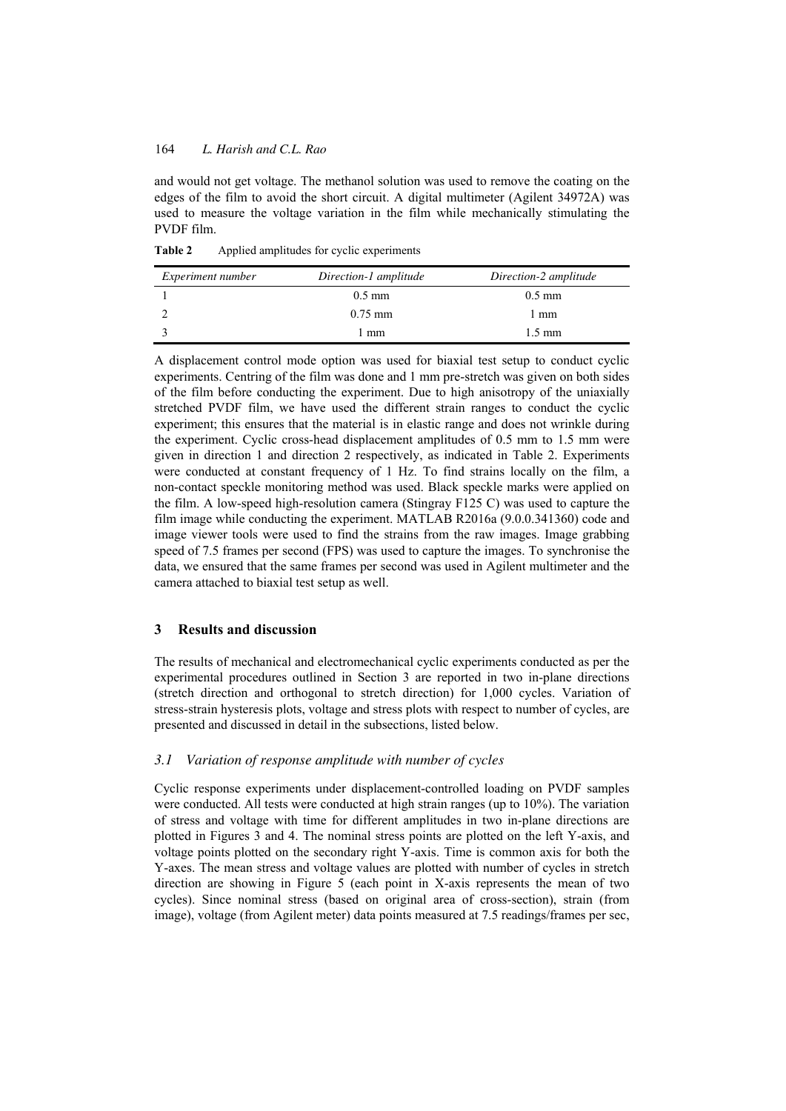and would not get voltage. The methanol solution was used to remove the coating on the edges of the film to avoid the short circuit. A digital multimeter (Agilent 34972A) was used to measure the voltage variation in the film while mechanically stimulating the PVDF film.

**Table 2** Applied amplitudes for cyclic experiments

| <i>Experiment number</i> | Direction-1 amplitude | Direction-2 amplitude |
|--------------------------|-----------------------|-----------------------|
|                          | $0.5 \text{ mm}$      | $0.5 \text{ mm}$      |
|                          | $0.75$ mm             | l mm                  |
|                          | mm                    | $1.5 \text{ mm}$      |

A displacement control mode option was used for biaxial test setup to conduct cyclic experiments. Centring of the film was done and 1 mm pre-stretch was given on both sides of the film before conducting the experiment. Due to high anisotropy of the uniaxially stretched PVDF film, we have used the different strain ranges to conduct the cyclic experiment; this ensures that the material is in elastic range and does not wrinkle during the experiment. Cyclic cross-head displacement amplitudes of 0.5 mm to 1.5 mm were given in direction 1 and direction 2 respectively, as indicated in Table 2. Experiments were conducted at constant frequency of 1 Hz. To find strains locally on the film, a non-contact speckle monitoring method was used. Black speckle marks were applied on the film. A low-speed high-resolution camera (Stingray F125 C) was used to capture the film image while conducting the experiment. MATLAB R2016a (9.0.0.341360) code and image viewer tools were used to find the strains from the raw images. Image grabbing speed of 7.5 frames per second (FPS) was used to capture the images. To synchronise the data, we ensured that the same frames per second was used in Agilent multimeter and the camera attached to biaxial test setup as well.

## **3 Results and discussion**

The results of mechanical and electromechanical cyclic experiments conducted as per the experimental procedures outlined in Section 3 are reported in two in-plane directions (stretch direction and orthogonal to stretch direction) for 1,000 cycles. Variation of stress-strain hysteresis plots, voltage and stress plots with respect to number of cycles, are presented and discussed in detail in the subsections, listed below.

## *3.1 Variation of response amplitude with number of cycles*

Cyclic response experiments under displacement-controlled loading on PVDF samples were conducted. All tests were conducted at high strain ranges (up to 10%). The variation of stress and voltage with time for different amplitudes in two in-plane directions are plotted in Figures 3 and 4. The nominal stress points are plotted on the left Y-axis, and voltage points plotted on the secondary right Y-axis. Time is common axis for both the Y-axes. The mean stress and voltage values are plotted with number of cycles in stretch direction are showing in Figure 5 (each point in X-axis represents the mean of two cycles). Since nominal stress (based on original area of cross-section), strain (from image), voltage (from Agilent meter) data points measured at 7.5 readings/frames per sec,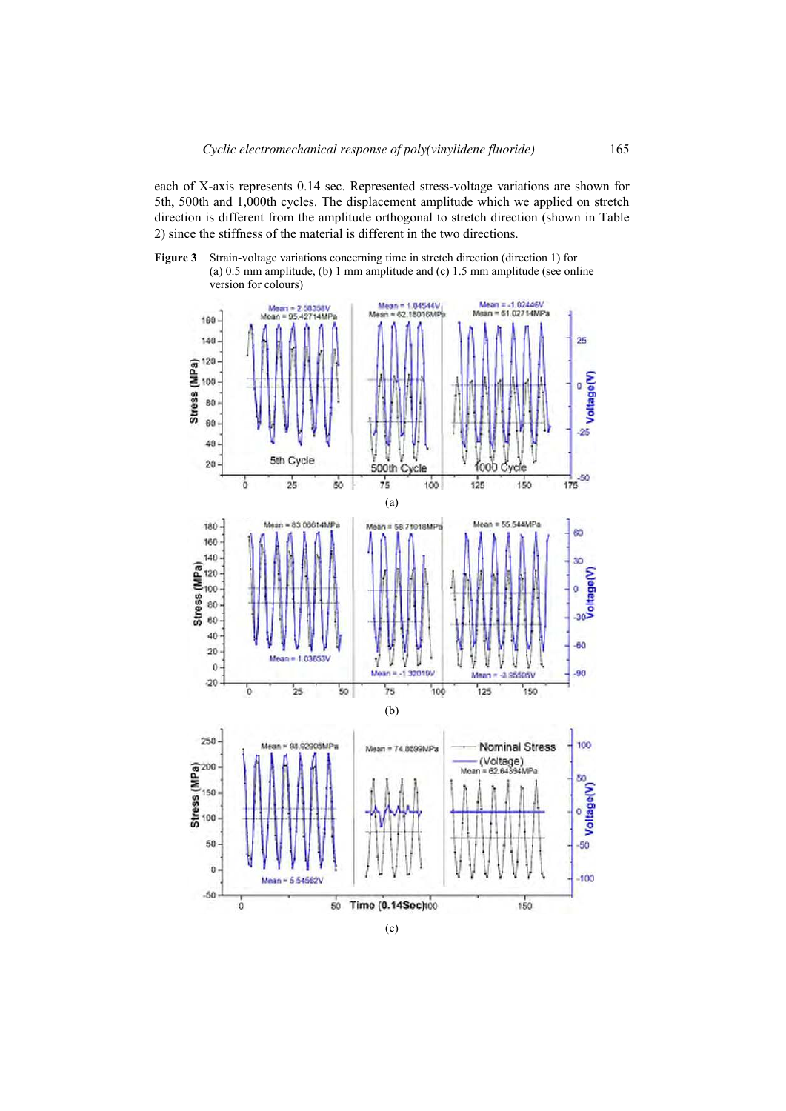each of X-axis represents 0.14 sec. Represented stress-voltage variations are shown for 5th, 500th and 1,000th cycles. The displacement amplitude which we applied on stretch direction is different from the amplitude orthogonal to stretch direction (shown in Table 2) since the stiffness of the material is different in the two directions.

**Figure 3** Strain-voltage variations concerning time in stretch direction (direction 1) for (a) 0.5 mm amplitude, (b) 1 mm amplitude and (c) 1.5 mm amplitude (see online version for colours)



(c)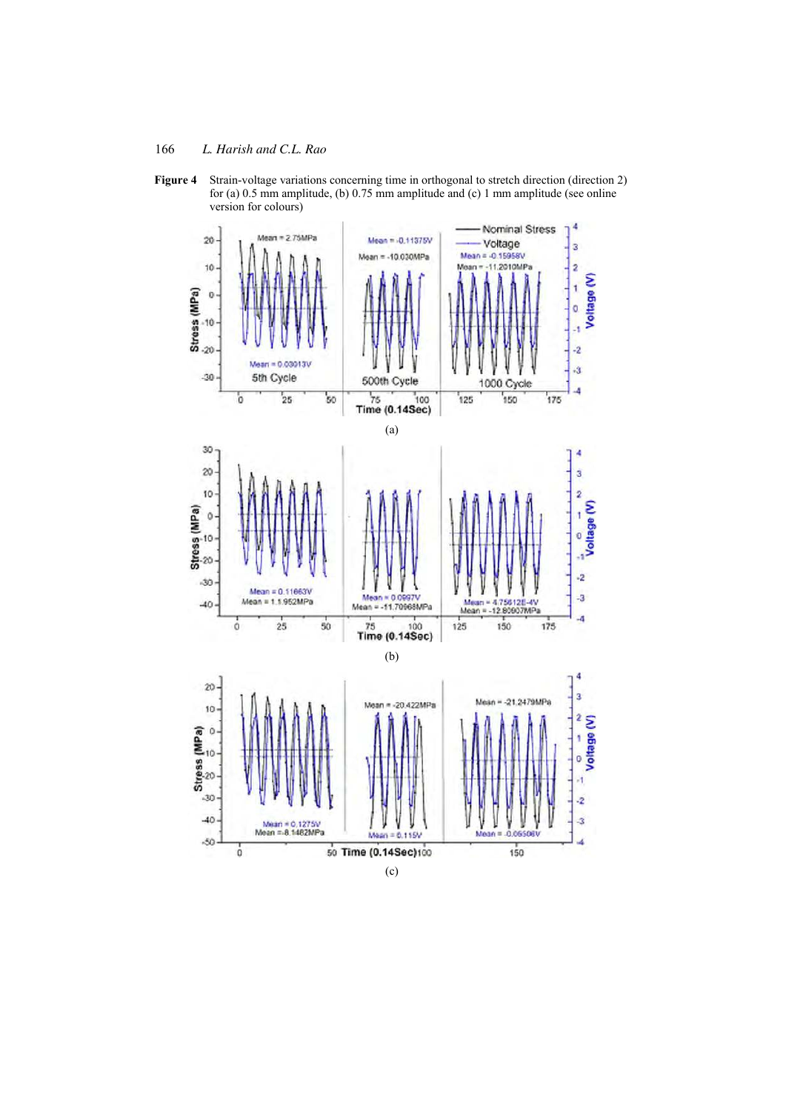

Figure 4 Strain-voltage variations concerning time in orthogonal to stretch direction (direction 2) for (a) 0.5 mm amplitude, (b) 0.75 mm amplitude and (c) 1 mm amplitude (see online version for colours)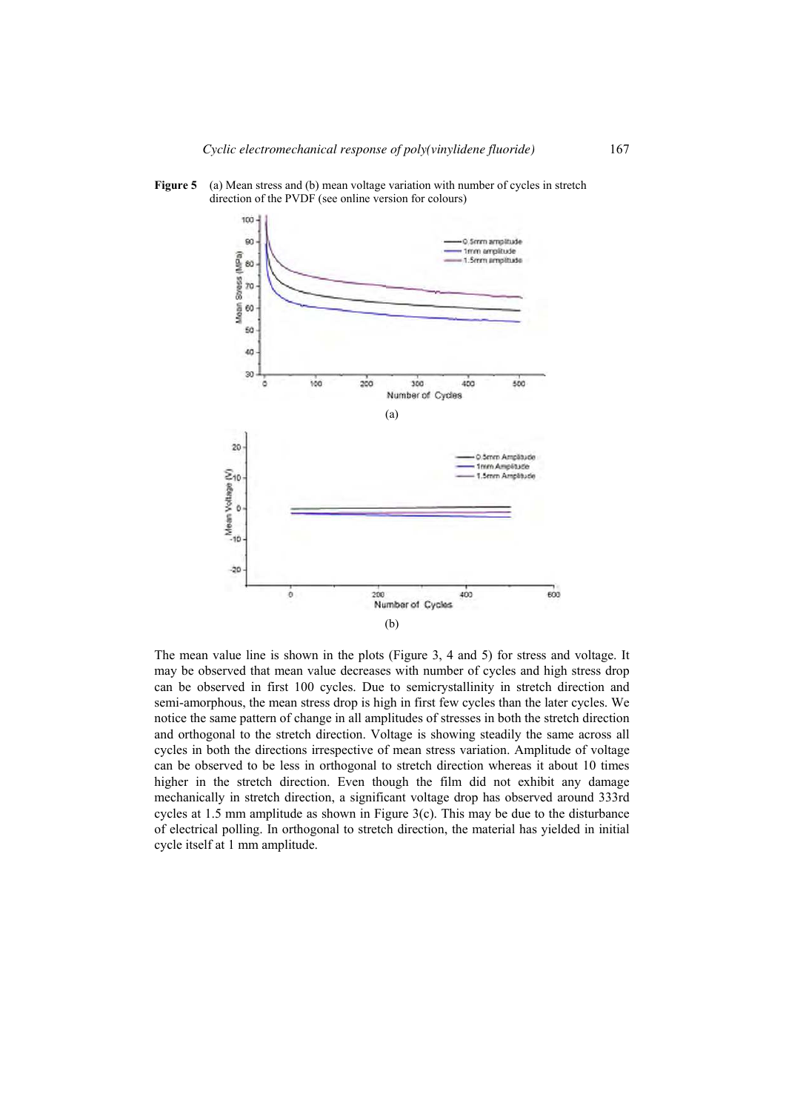

**Figure 5** (a) Mean stress and (b) mean voltage variation with number of cycles in stretch direction of the PVDF (see online version for colours)

The mean value line is shown in the plots (Figure 3, 4 and 5) for stress and voltage. It may be observed that mean value decreases with number of cycles and high stress drop can be observed in first 100 cycles. Due to semicrystallinity in stretch direction and semi-amorphous, the mean stress drop is high in first few cycles than the later cycles. We notice the same pattern of change in all amplitudes of stresses in both the stretch direction and orthogonal to the stretch direction. Voltage is showing steadily the same across all cycles in both the directions irrespective of mean stress variation. Amplitude of voltage can be observed to be less in orthogonal to stretch direction whereas it about 10 times higher in the stretch direction. Even though the film did not exhibit any damage mechanically in stretch direction, a significant voltage drop has observed around 333rd cycles at 1.5 mm amplitude as shown in Figure 3(c). This may be due to the disturbance of electrical polling. In orthogonal to stretch direction, the material has yielded in initial cycle itself at 1 mm amplitude.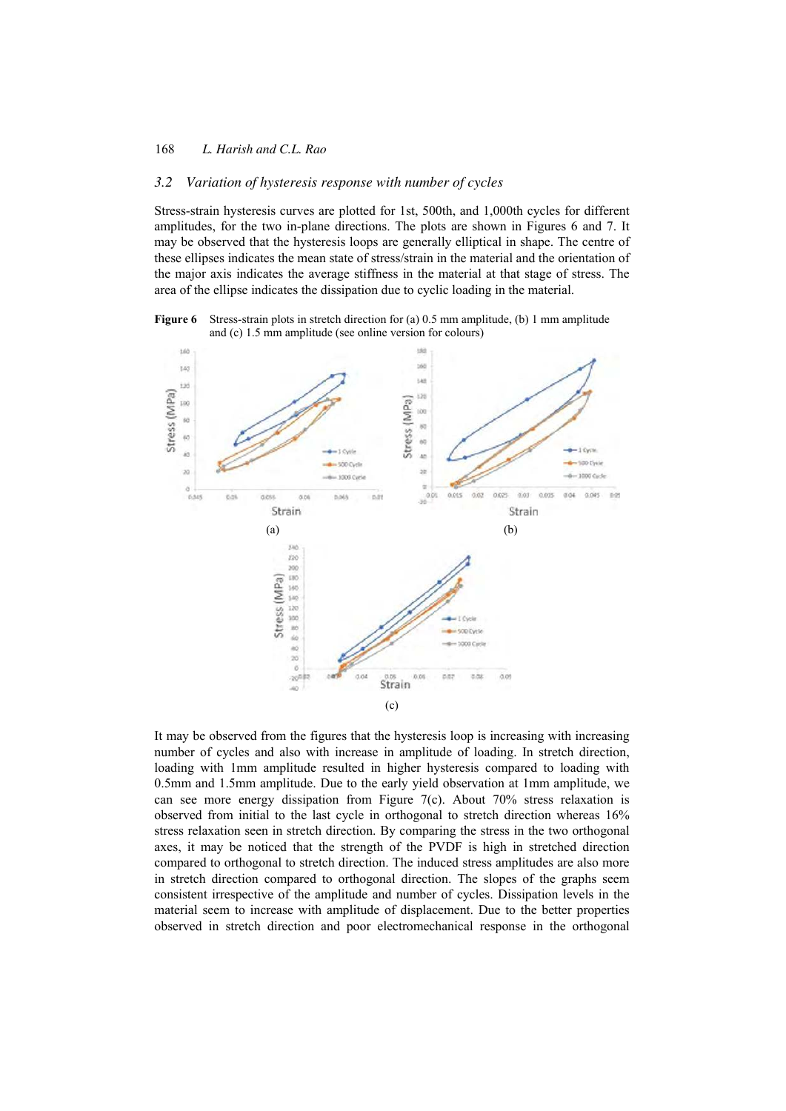#### *3.2 Variation of hysteresis response with number of cycles*

Stress-strain hysteresis curves are plotted for 1st, 500th, and 1,000th cycles for different amplitudes, for the two in-plane directions. The plots are shown in Figures 6 and 7. It may be observed that the hysteresis loops are generally elliptical in shape. The centre of these ellipses indicates the mean state of stress/strain in the material and the orientation of the major axis indicates the average stiffness in the material at that stage of stress. The area of the ellipse indicates the dissipation due to cyclic loading in the material.

**Figure 6** Stress-strain plots in stretch direction for (a) 0.5 mm amplitude, (b) 1 mm amplitude and (c) 1.5 mm amplitude (see online version for colours)



It may be observed from the figures that the hysteresis loop is increasing with increasing number of cycles and also with increase in amplitude of loading. In stretch direction, loading with 1mm amplitude resulted in higher hysteresis compared to loading with 0.5mm and 1.5mm amplitude. Due to the early yield observation at 1mm amplitude, we can see more energy dissipation from Figure 7(c). About 70% stress relaxation is observed from initial to the last cycle in orthogonal to stretch direction whereas 16% stress relaxation seen in stretch direction. By comparing the stress in the two orthogonal axes, it may be noticed that the strength of the PVDF is high in stretched direction compared to orthogonal to stretch direction. The induced stress amplitudes are also more in stretch direction compared to orthogonal direction. The slopes of the graphs seem consistent irrespective of the amplitude and number of cycles. Dissipation levels in the material seem to increase with amplitude of displacement. Due to the better properties observed in stretch direction and poor electromechanical response in the orthogonal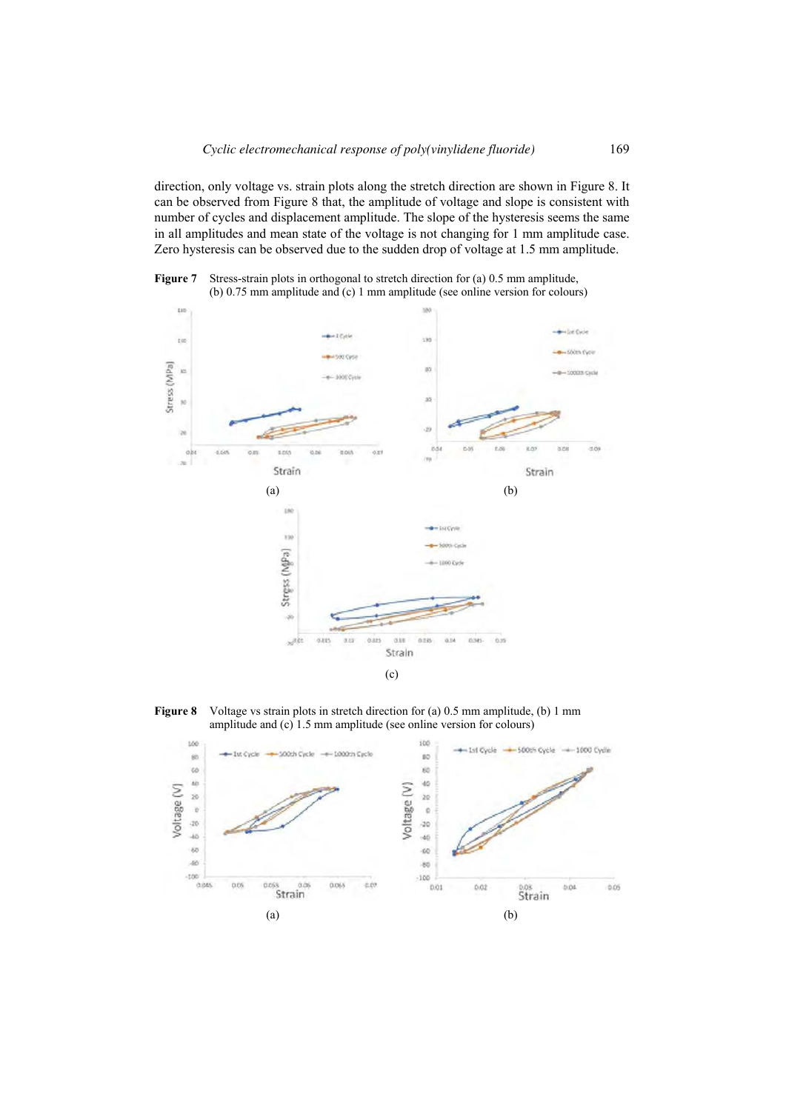direction, only voltage vs. strain plots along the stretch direction are shown in Figure 8. It can be observed from Figure 8 that, the amplitude of voltage and slope is consistent with number of cycles and displacement amplitude. The slope of the hysteresis seems the same in all amplitudes and mean state of the voltage is not changing for 1 mm amplitude case. Zero hysteresis can be observed due to the sudden drop of voltage at 1.5 mm amplitude.

**Figure 7** Stress-strain plots in orthogonal to stretch direction for (a) 0.5 mm amplitude, (b) 0.75 mm amplitude and (c) 1 mm amplitude (see online version for colours)



**Figure 8** Voltage vs strain plots in stretch direction for (a) 0.5 mm amplitude, (b) 1 mm amplitude and (c) 1.5 mm amplitude (see online version for colours)

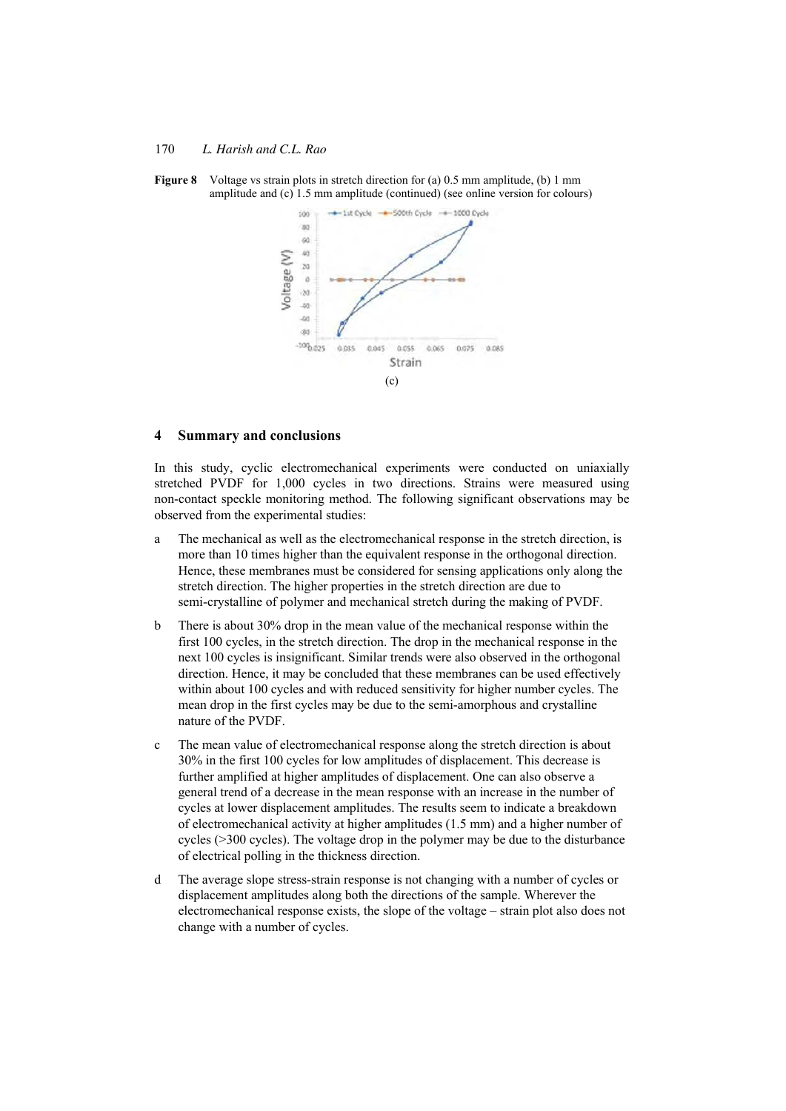

**Figure 8** Voltage vs strain plots in stretch direction for (a) 0.5 mm amplitude, (b) 1 mm amplitude and (c) 1.5 mm amplitude (continued) (see online version for colours)

#### **4 Summary and conclusions**

In this study, cyclic electromechanical experiments were conducted on uniaxially stretched PVDF for 1,000 cycles in two directions. Strains were measured using non-contact speckle monitoring method. The following significant observations may be observed from the experimental studies:

- a The mechanical as well as the electromechanical response in the stretch direction, is more than 10 times higher than the equivalent response in the orthogonal direction. Hence, these membranes must be considered for sensing applications only along the stretch direction. The higher properties in the stretch direction are due to semi-crystalline of polymer and mechanical stretch during the making of PVDF.
- b There is about 30% drop in the mean value of the mechanical response within the first 100 cycles, in the stretch direction. The drop in the mechanical response in the next 100 cycles is insignificant. Similar trends were also observed in the orthogonal direction. Hence, it may be concluded that these membranes can be used effectively within about 100 cycles and with reduced sensitivity for higher number cycles. The mean drop in the first cycles may be due to the semi-amorphous and crystalline nature of the PVDF.
- c The mean value of electromechanical response along the stretch direction is about 30% in the first 100 cycles for low amplitudes of displacement. This decrease is further amplified at higher amplitudes of displacement. One can also observe a general trend of a decrease in the mean response with an increase in the number of cycles at lower displacement amplitudes. The results seem to indicate a breakdown of electromechanical activity at higher amplitudes (1.5 mm) and a higher number of cycles (>300 cycles). The voltage drop in the polymer may be due to the disturbance of electrical polling in the thickness direction.
- d The average slope stress-strain response is not changing with a number of cycles or displacement amplitudes along both the directions of the sample. Wherever the electromechanical response exists, the slope of the voltage – strain plot also does not change with a number of cycles.